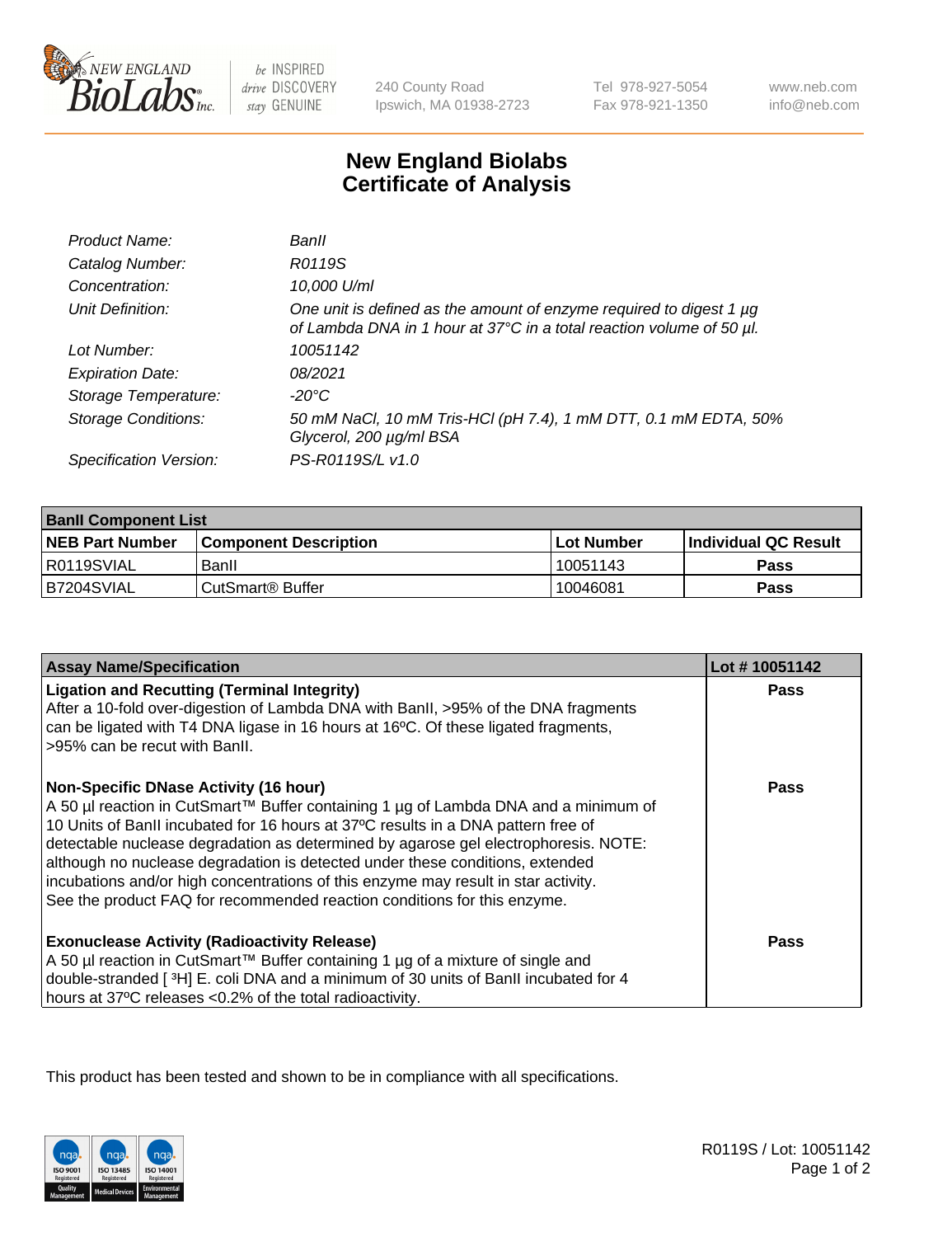

be INSPIRED drive DISCOVERY stay GENUINE

240 County Road Ipswich, MA 01938-2723 Tel 978-927-5054 Fax 978-921-1350

www.neb.com info@neb.com

## **New England Biolabs Certificate of Analysis**

| Product Name:              | Banll                                                                                                                                       |
|----------------------------|---------------------------------------------------------------------------------------------------------------------------------------------|
| Catalog Number:            | R0119S                                                                                                                                      |
| Concentration:             | 10,000 U/ml                                                                                                                                 |
| Unit Definition:           | One unit is defined as the amount of enzyme required to digest 1 µg<br>of Lambda DNA in 1 hour at 37°C in a total reaction volume of 50 µl. |
| Lot Number:                | 10051142                                                                                                                                    |
| <b>Expiration Date:</b>    | 08/2021                                                                                                                                     |
| Storage Temperature:       | -20°C                                                                                                                                       |
| <b>Storage Conditions:</b> | 50 mM NaCl, 10 mM Tris-HCl (pH 7.4), 1 mM DTT, 0.1 mM EDTA, 50%<br>Glycerol, 200 µg/ml BSA                                                  |
| Specification Version:     | PS-R0119S/L v1.0                                                                                                                            |

| <b>Banll Component List</b> |                         |              |                             |  |
|-----------------------------|-------------------------|--------------|-----------------------------|--|
| <b>NEB Part Number</b>      | l Component Description | l Lot Number | <b>Individual QC Result</b> |  |
| R0119SVIAL                  | Banll                   | 10051143     | Pass                        |  |
| B7204SVIAL                  | i CutSmart® Buffer_     | 10046081     | Pass                        |  |

| <b>Assay Name/Specification</b>                                                                                                                                                                                                                                                                                                                                                                                                                                                                                                                                    | Lot #10051142 |
|--------------------------------------------------------------------------------------------------------------------------------------------------------------------------------------------------------------------------------------------------------------------------------------------------------------------------------------------------------------------------------------------------------------------------------------------------------------------------------------------------------------------------------------------------------------------|---------------|
| <b>Ligation and Recutting (Terminal Integrity)</b><br>After a 10-fold over-digestion of Lambda DNA with BanII, >95% of the DNA fragments<br>can be ligated with T4 DNA ligase in 16 hours at 16°C. Of these ligated fragments,<br>>95% can be recut with Banll.                                                                                                                                                                                                                                                                                                    | <b>Pass</b>   |
| <b>Non-Specific DNase Activity (16 hour)</b><br>A 50 µl reaction in CutSmart™ Buffer containing 1 µg of Lambda DNA and a minimum of<br>10 Units of BanII incubated for 16 hours at 37°C results in a DNA pattern free of<br>detectable nuclease degradation as determined by agarose gel electrophoresis. NOTE:<br>although no nuclease degradation is detected under these conditions, extended<br>incubations and/or high concentrations of this enzyme may result in star activity.<br>See the product FAQ for recommended reaction conditions for this enzyme. | Pass          |
| <b>Exonuclease Activity (Radioactivity Release)</b><br>A 50 µl reaction in CutSmart™ Buffer containing 1 µg of a mixture of single and<br>double-stranded [3H] E. coli DNA and a minimum of 30 units of BanII incubated for 4<br>hours at 37°C releases <0.2% of the total radioactivity.                                                                                                                                                                                                                                                                          | <b>Pass</b>   |

This product has been tested and shown to be in compliance with all specifications.